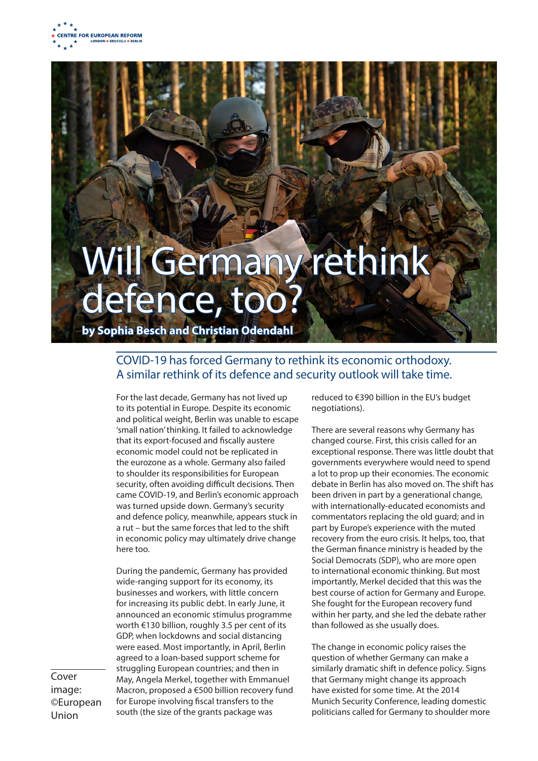

## Will Germany rethink defence, too

**by Sophia Besch and Christian Odendahl**

## COVID-19 has forced Germany to rethink its economic orthodoxy. A similar rethink of its defence and security outlook will take time.

For the last decade, Germany has not lived up to its potential in Europe. Despite its economic and political weight, Berlin was unable to escape 'small nation' thinking. It failed to acknowledge that its export-focused and fiscally austere economic model could not be replicated in the eurozone as a whole. Germany also failed to shoulder its responsibilities for European security, often avoiding difficult decisions. Then came COVID-19, and Berlin's economic approach was turned upside down. Germany's security and defence policy, meanwhile, appears stuck in a rut – but the same forces that led to the shift in economic policy may ultimately drive change here too.

During the pandemic, Germany has provided wide-ranging support for its economy, its businesses and workers, with little concern for increasing its public debt. In early June, it announced an economic stimulus programme worth €130 billion, roughly 3.5 per cent of its GDP, when lockdowns and social distancing were eased. Most importantly, in April, Berlin agreed to a loan-based support scheme for struggling European countries; and then in May, Angela Merkel, together with Emmanuel Macron, proposed a €500 billion recovery fund for Europe involving fiscal transfers to the south (the size of the grants package was

reduced to €390 billion in the EU's budget negotiations).

There are several reasons why Germany has changed course. First, this crisis called for an exceptional response. There was little doubt that governments everywhere would need to spend a lot to prop up their economies. The economic debate in Berlin has also moved on. The shift has been driven in part by a generational change, with internationally-educated economists and commentators replacing the old guard; and in part by Europe's experience with the muted recovery from the euro crisis. It helps, too, that the German finance ministry is headed by the Social Democrats (SDP), who are more open to international economic thinking. But most importantly, Merkel decided that this was the best course of action for Germany and Europe. She fought for the European recovery fund within her party, and she led the debate rather than followed as she usually does.

The change in economic policy raises the question of whether Germany can make a similarly dramatic shift in defence policy. Signs that Germany might change its approach have existed for some time. At the 2014 Munich Security Conference, leading domestic politicians called for Germany to shoulder more

Cover image: ©European Union